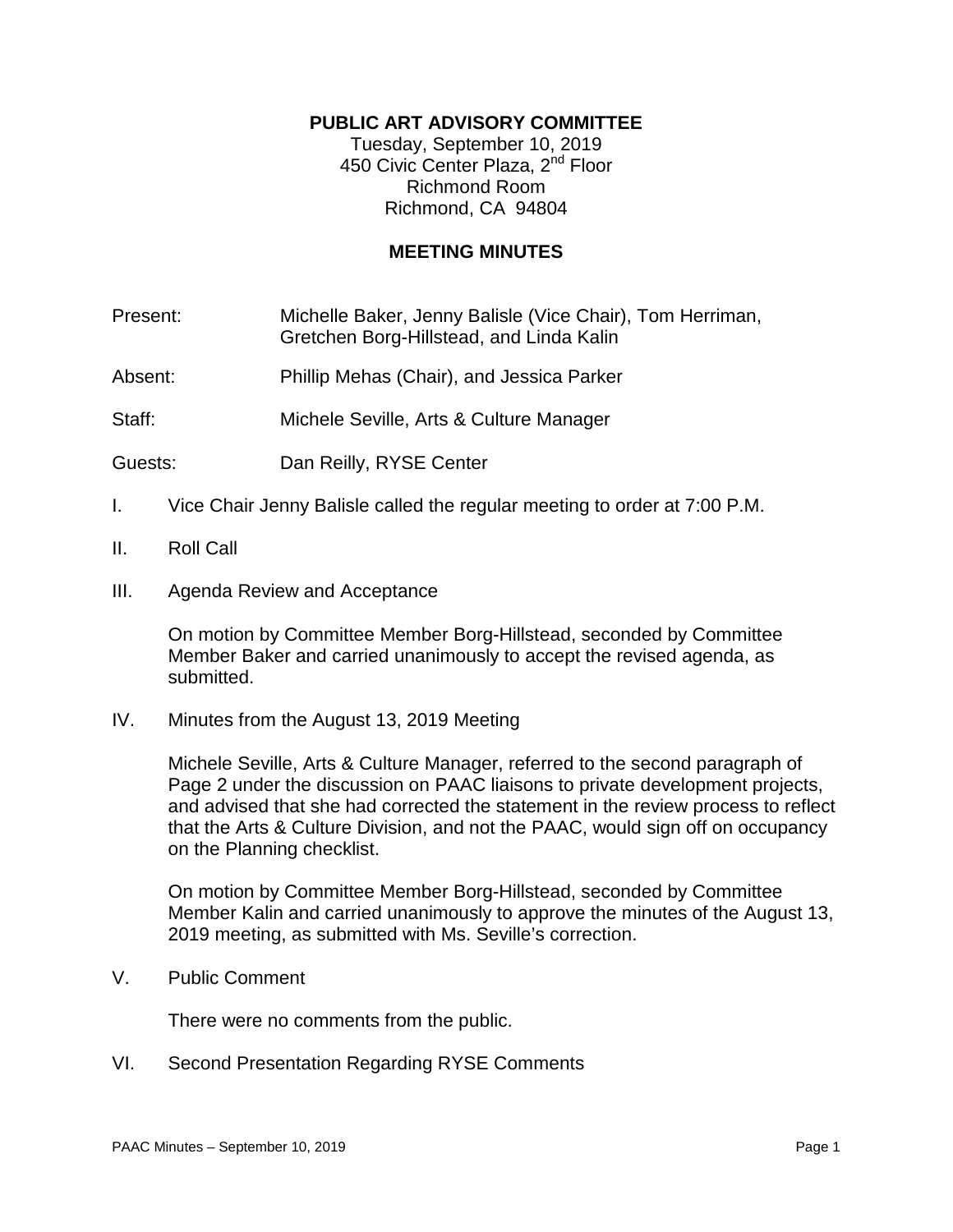# **PUBLIC ART ADVISORY COMMITTEE**

Tuesday, September 10, 2019 450 Civic Center Plaza, 2<sup>nd</sup> Floor Richmond Room Richmond, CA 94804

## **MEETING MINUTES**

Present: Michelle Baker, Jenny Balisle (Vice Chair), Tom Herriman, Gretchen Borg-Hillstead, and Linda Kalin

Absent: Phillip Mehas (Chair), and Jessica Parker

Staff: Michele Seville, Arts & Culture Manager

Guests: Dan Reilly, RYSE Center

- I. Vice Chair Jenny Balisle called the regular meeting to order at 7:00 P.M.
- II. Roll Call
- III. Agenda Review and Acceptance

On motion by Committee Member Borg-Hillstead, seconded by Committee Member Baker and carried unanimously to accept the revised agenda, as submitted.

IV. Minutes from the August 13, 2019 Meeting

Michele Seville, Arts & Culture Manager, referred to the second paragraph of Page 2 under the discussion on PAAC liaisons to private development projects, and advised that she had corrected the statement in the review process to reflect that the Arts & Culture Division, and not the PAAC, would sign off on occupancy on the Planning checklist.

On motion by Committee Member Borg-Hillstead, seconded by Committee Member Kalin and carried unanimously to approve the minutes of the August 13, 2019 meeting, as submitted with Ms. Seville's correction.

V. Public Comment

There were no comments from the public.

VI. Second Presentation Regarding RYSE Comments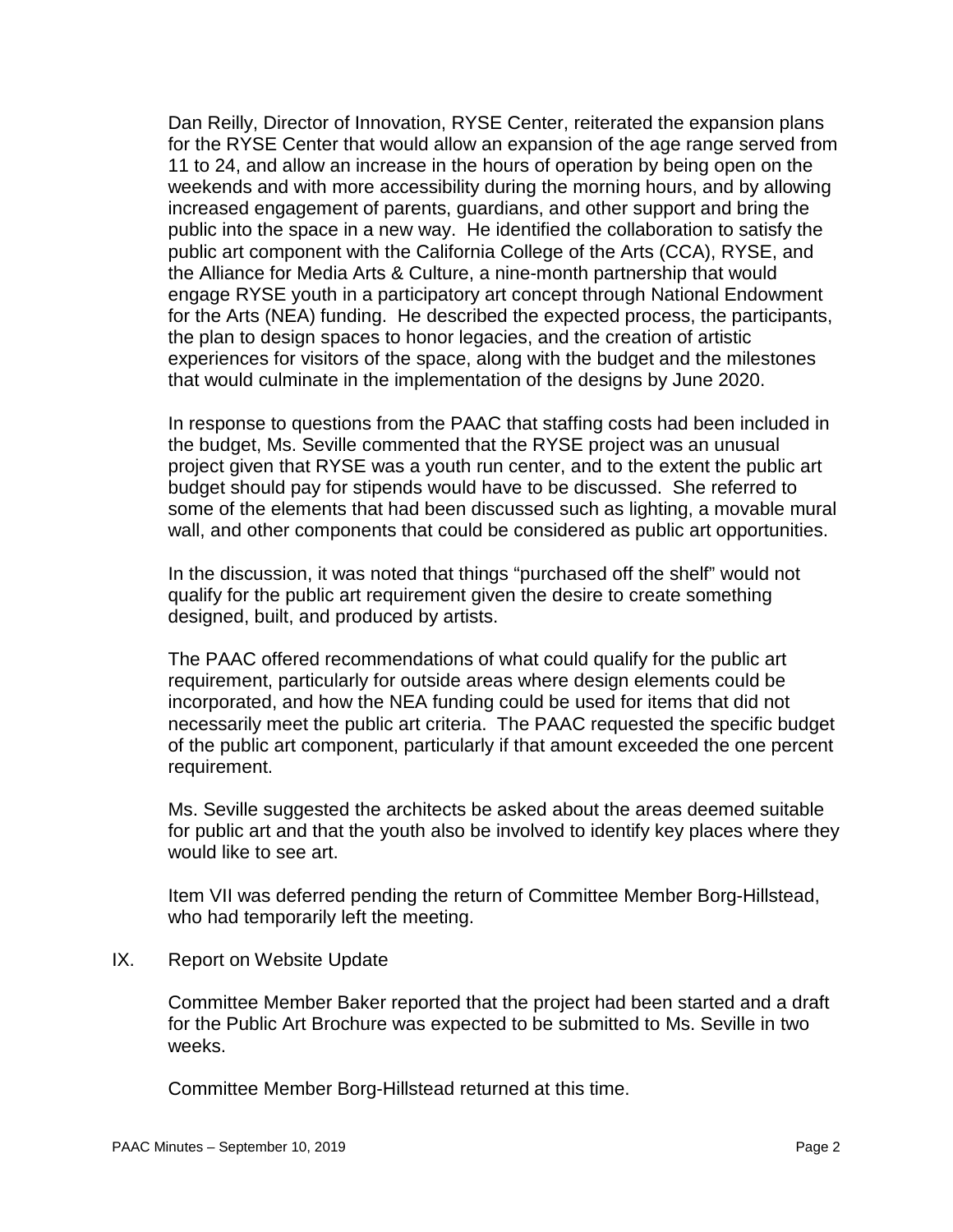Dan Reilly, Director of Innovation, RYSE Center, reiterated the expansion plans for the RYSE Center that would allow an expansion of the age range served from 11 to 24, and allow an increase in the hours of operation by being open on the weekends and with more accessibility during the morning hours, and by allowing increased engagement of parents, guardians, and other support and bring the public into the space in a new way. He identified the collaboration to satisfy the public art component with the California College of the Arts (CCA), RYSE, and the Alliance for Media Arts & Culture, a nine-month partnership that would engage RYSE youth in a participatory art concept through National Endowment for the Arts (NEA) funding. He described the expected process, the participants, the plan to design spaces to honor legacies, and the creation of artistic experiences for visitors of the space, along with the budget and the milestones that would culminate in the implementation of the designs by June 2020.

In response to questions from the PAAC that staffing costs had been included in the budget, Ms. Seville commented that the RYSE project was an unusual project given that RYSE was a youth run center, and to the extent the public art budget should pay for stipends would have to be discussed. She referred to some of the elements that had been discussed such as lighting, a movable mural wall, and other components that could be considered as public art opportunities.

In the discussion, it was noted that things "purchased off the shelf" would not qualify for the public art requirement given the desire to create something designed, built, and produced by artists.

The PAAC offered recommendations of what could qualify for the public art requirement, particularly for outside areas where design elements could be incorporated, and how the NEA funding could be used for items that did not necessarily meet the public art criteria. The PAAC requested the specific budget of the public art component, particularly if that amount exceeded the one percent requirement.

Ms. Seville suggested the architects be asked about the areas deemed suitable for public art and that the youth also be involved to identify key places where they would like to see art.

Item VII was deferred pending the return of Committee Member Borg-Hillstead, who had temporarily left the meeting.

IX. Report on Website Update

Committee Member Baker reported that the project had been started and a draft for the Public Art Brochure was expected to be submitted to Ms. Seville in two weeks.

Committee Member Borg-Hillstead returned at this time.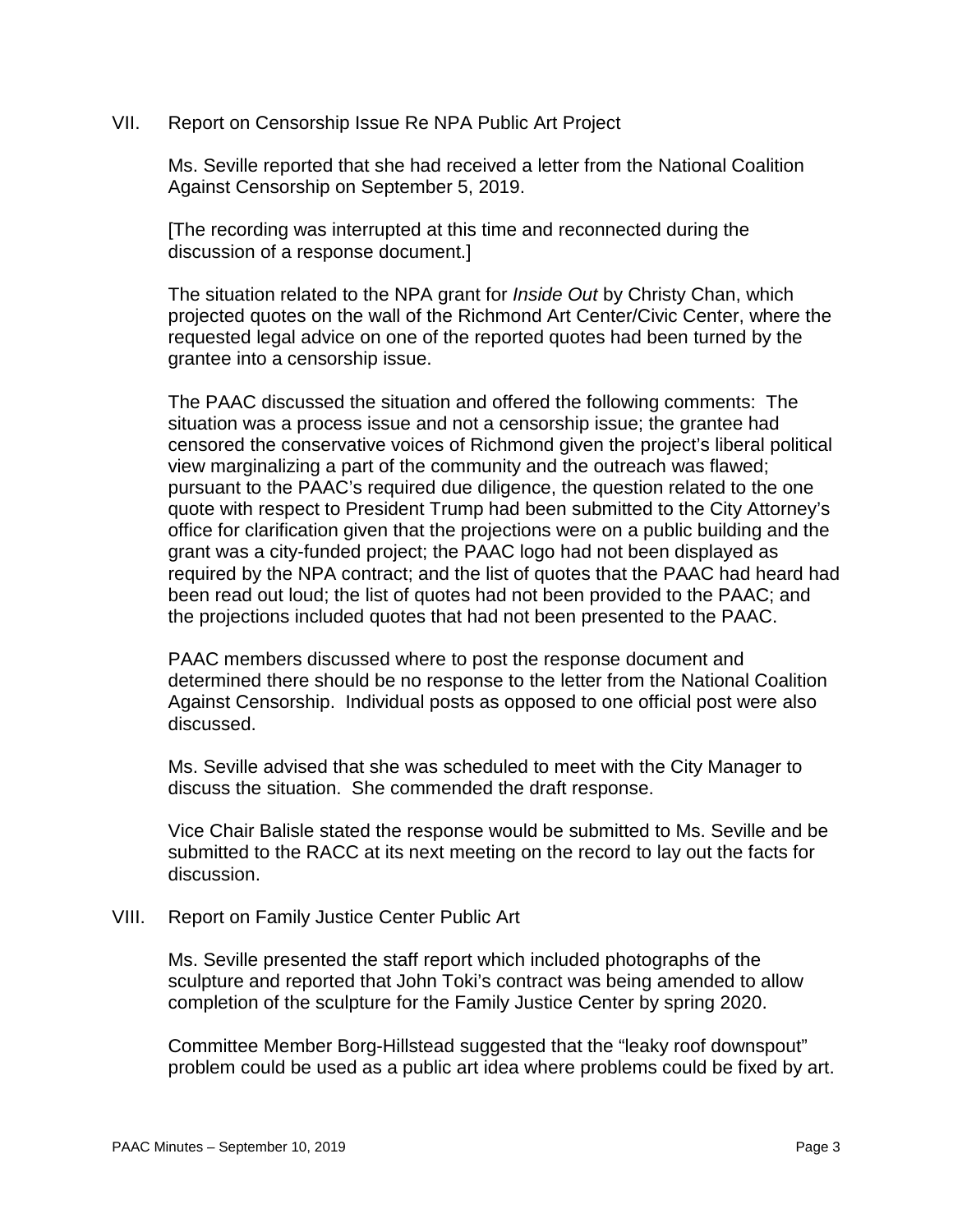VII. Report on Censorship Issue Re NPA Public Art Project

Ms. Seville reported that she had received a letter from the National Coalition Against Censorship on September 5, 2019.

[The recording was interrupted at this time and reconnected during the discussion of a response document.]

The situation related to the NPA grant for *Inside Out* by Christy Chan, which projected quotes on the wall of the Richmond Art Center/Civic Center, where the requested legal advice on one of the reported quotes had been turned by the grantee into a censorship issue.

The PAAC discussed the situation and offered the following comments: The situation was a process issue and not a censorship issue; the grantee had censored the conservative voices of Richmond given the project's liberal political view marginalizing a part of the community and the outreach was flawed; pursuant to the PAAC's required due diligence, the question related to the one quote with respect to President Trump had been submitted to the City Attorney's office for clarification given that the projections were on a public building and the grant was a city-funded project; the PAAC logo had not been displayed as required by the NPA contract; and the list of quotes that the PAAC had heard had been read out loud; the list of quotes had not been provided to the PAAC; and the projections included quotes that had not been presented to the PAAC.

PAAC members discussed where to post the response document and determined there should be no response to the letter from the National Coalition Against Censorship. Individual posts as opposed to one official post were also discussed.

Ms. Seville advised that she was scheduled to meet with the City Manager to discuss the situation. She commended the draft response.

Vice Chair Balisle stated the response would be submitted to Ms. Seville and be submitted to the RACC at its next meeting on the record to lay out the facts for discussion.

VIII. Report on Family Justice Center Public Art

Ms. Seville presented the staff report which included photographs of the sculpture and reported that John Toki's contract was being amended to allow completion of the sculpture for the Family Justice Center by spring 2020.

Committee Member Borg-Hillstead suggested that the "leaky roof downspout" problem could be used as a public art idea where problems could be fixed by art.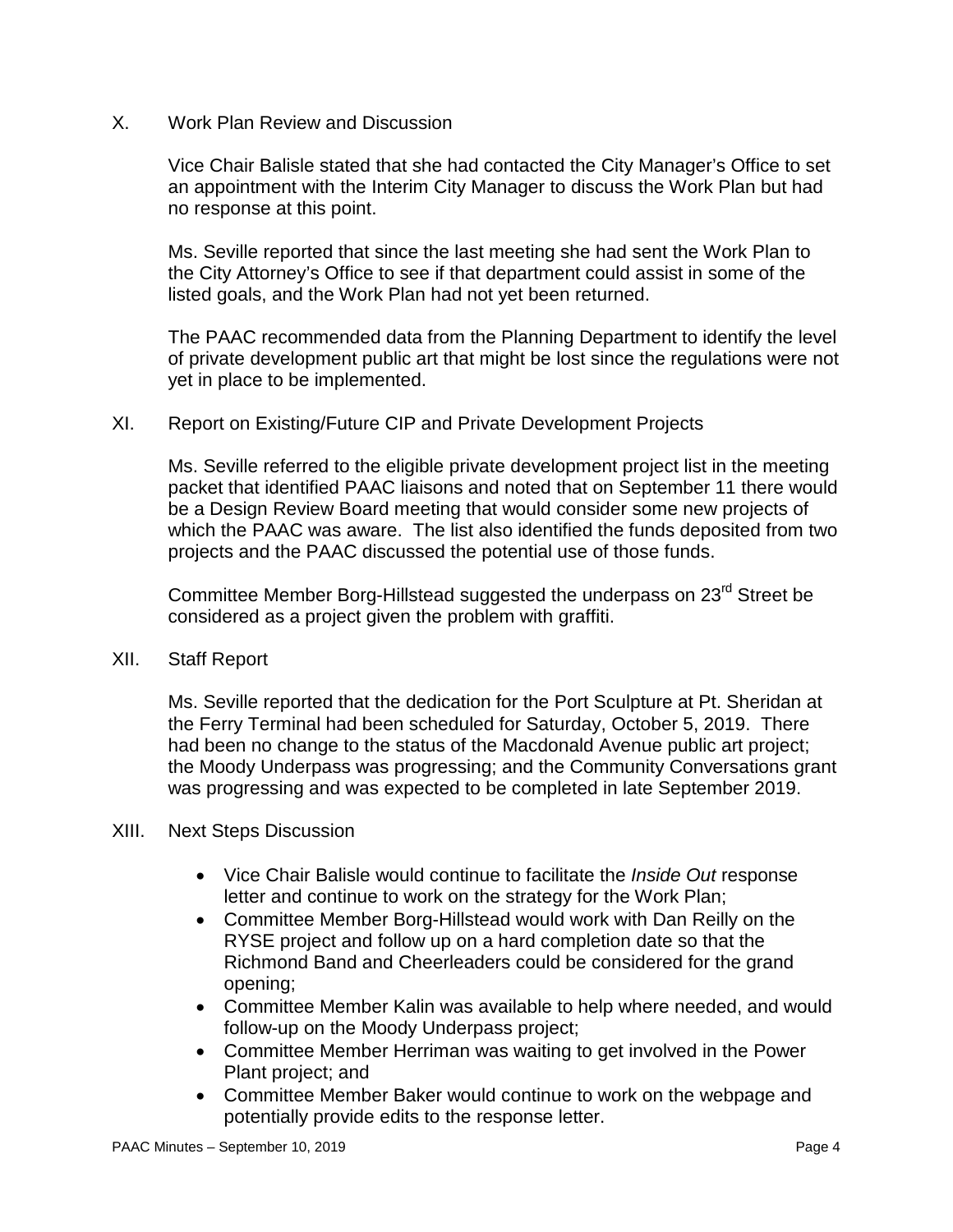X. Work Plan Review and Discussion

Vice Chair Balisle stated that she had contacted the City Manager's Office to set an appointment with the Interim City Manager to discuss the Work Plan but had no response at this point.

Ms. Seville reported that since the last meeting she had sent the Work Plan to the City Attorney's Office to see if that department could assist in some of the listed goals, and the Work Plan had not yet been returned.

The PAAC recommended data from the Planning Department to identify the level of private development public art that might be lost since the regulations were not yet in place to be implemented.

XI. Report on Existing/Future CIP and Private Development Projects

Ms. Seville referred to the eligible private development project list in the meeting packet that identified PAAC liaisons and noted that on September 11 there would be a Design Review Board meeting that would consider some new projects of which the PAAC was aware. The list also identified the funds deposited from two projects and the PAAC discussed the potential use of those funds.

Committee Member Borg-Hillstead suggested the underpass on 23<sup>rd</sup> Street be considered as a project given the problem with graffiti.

# XII. Staff Report

Ms. Seville reported that the dedication for the Port Sculpture at Pt. Sheridan at the Ferry Terminal had been scheduled for Saturday, October 5, 2019. There had been no change to the status of the Macdonald Avenue public art project; the Moody Underpass was progressing; and the Community Conversations grant was progressing and was expected to be completed in late September 2019.

### XIII. Next Steps Discussion

- Vice Chair Balisle would continue to facilitate the *Inside Out* response letter and continue to work on the strategy for the Work Plan;
- Committee Member Borg-Hillstead would work with Dan Reilly on the RYSE project and follow up on a hard completion date so that the Richmond Band and Cheerleaders could be considered for the grand opening;
- Committee Member Kalin was available to help where needed, and would follow-up on the Moody Underpass project;
- Committee Member Herriman was waiting to get involved in the Power Plant project; and
- Committee Member Baker would continue to work on the webpage and potentially provide edits to the response letter.